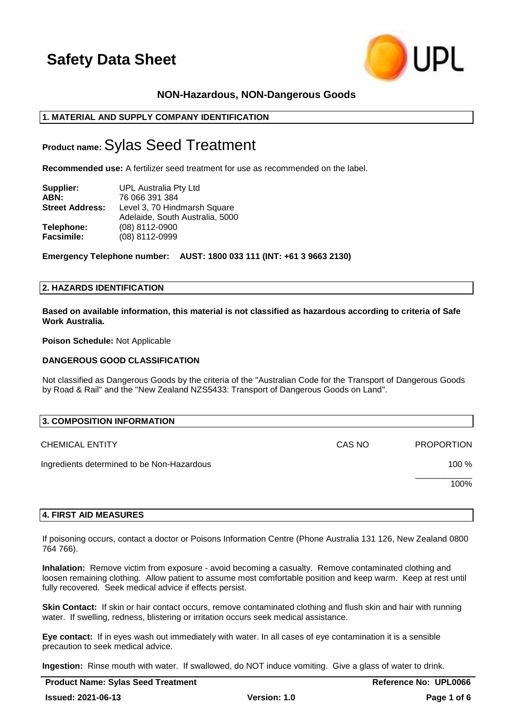

# **NON-Hazardous, NON-Dangerous Goods**

## **1. MATERIAL AND SUPPLY COMPANY IDENTIFICATION**

# **Product name:**Sylas Seed Treatment

**Recommended use:** A fertilizer seed treatment for use as recommended on the label.

| Supplier:              | UPL Australia Pty Ltd                                           |  |
|------------------------|-----------------------------------------------------------------|--|
| ABN:                   | 76 066 391 384                                                  |  |
| <b>Street Address:</b> | Level 3, 70 Hindmarsh Square<br>Adelaide, South Australia, 5000 |  |
| Telephone:             | (08) 8112-0900                                                  |  |
| <b>Facsimile:</b>      | (08) 8112-0999                                                  |  |

**Emergency Telephone number: AUST: 1800 033 111 (INT: +61 3 9663 2130)**

## **2. HAZARDS IDENTIFICATION**

**Based on available information, this material is not classified as hazardous according to criteria of Safe Work Australia.**

**Poison Schedule:** Not Applicable

### **DANGEROUS GOOD CLASSIFICATION**

Not classified as Dangerous Goods by the criteria of the "Australian Code for the Transport of Dangerous Goods by Road & Rail" and the "New Zealand NZS5433: Transport of Dangerous Goods on Land".

| 3. COMPOSITION INFORMATION                 |        |                   |  |
|--------------------------------------------|--------|-------------------|--|
| <b>CHEMICAL ENTITY</b>                     | CAS NO | <b>PROPORTION</b> |  |
| Ingredients determined to be Non-Hazardous |        | 100 %             |  |
|                                            |        | 100%              |  |
|                                            |        |                   |  |

## **4. FIRST AID MEASURES**

If poisoning occurs, contact a doctor or Poisons Information Centre (Phone Australia 131 126, New Zealand 0800 764 766).

**Inhalation:** Remove victim from exposure - avoid becoming a casualty. Remove contaminated clothing and loosen remaining clothing. Allow patient to assume most comfortable position and keep warm. Keep at rest until fully recovered. Seek medical advice if effects persist.

**Skin Contact:** If skin or hair contact occurs, remove contaminated clothing and flush skin and hair with running water. If swelling, redness, blistering or irritation occurs seek medical assistance.

**Eye contact:** If in eyes wash out immediately with water. In all cases of eye contamination it is a sensible precaution to seek medical advice.

**Ingestion:** Rinse mouth with water. If swallowed, do NOT induce vomiting. Give a glass of water to drink.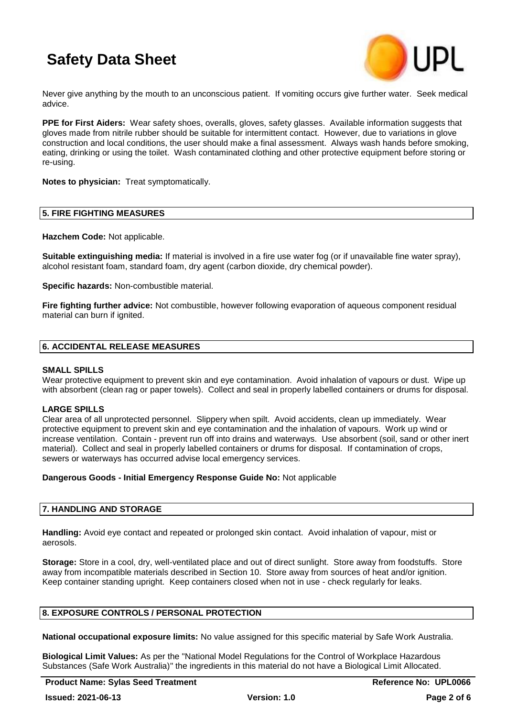

Never give anything by the mouth to an unconscious patient. If vomiting occurs give further water. Seek medical advice.

**PPE for First Aiders:** Wear safety shoes, overalls, gloves, safety glasses. Available information suggests that gloves made from nitrile rubber should be suitable for intermittent contact. However, due to variations in glove construction and local conditions, the user should make a final assessment. Always wash hands before smoking, eating, drinking or using the toilet. Wash contaminated clothing and other protective equipment before storing or re-using.

**Notes to physician:** Treat symptomatically.

### **5. FIRE FIGHTING MEASURES**

**Hazchem Code:** Not applicable.

**Suitable extinguishing media:** If material is involved in a fire use water fog (or if unavailable fine water spray), alcohol resistant foam, standard foam, dry agent (carbon dioxide, dry chemical powder).

**Specific hazards:** Non-combustible material.

**Fire fighting further advice:** Not combustible, however following evaporation of aqueous component residual material can burn if ignited.

## **6. ACCIDENTAL RELEASE MEASURES**

### **SMALL SPILLS**

Wear protective equipment to prevent skin and eye contamination. Avoid inhalation of vapours or dust. Wipe up with absorbent (clean rag or paper towels). Collect and seal in properly labelled containers or drums for disposal.

## **LARGE SPILLS**

Clear area of all unprotected personnel. Slippery when spilt. Avoid accidents, clean up immediately. Wear protective equipment to prevent skin and eye contamination and the inhalation of vapours. Work up wind or increase ventilation. Contain - prevent run off into drains and waterways. Use absorbent (soil, sand or other inert material). Collect and seal in properly labelled containers or drums for disposal. If contamination of crops, sewers or waterways has occurred advise local emergency services.

### **Dangerous Goods - Initial Emergency Response Guide No:** Not applicable

## **7. HANDLING AND STORAGE**

**Handling:** Avoid eye contact and repeated or prolonged skin contact. Avoid inhalation of vapour, mist or aerosols.

**Storage:** Store in a cool, dry, well-ventilated place and out of direct sunlight. Store away from foodstuffs. Store away from incompatible materials described in Section 10. Store away from sources of heat and/or ignition. Keep container standing upright. Keep containers closed when not in use - check regularly for leaks.

## **8. EXPOSURE CONTROLS / PERSONAL PROTECTION**

**National occupational exposure limits:** No value assigned for this specific material by Safe Work Australia.

**Biological Limit Values:** As per the "National Model Regulations for the Control of Workplace Hazardous Substances (Safe Work Australia)" the ingredients in this material do not have a Biological Limit Allocated.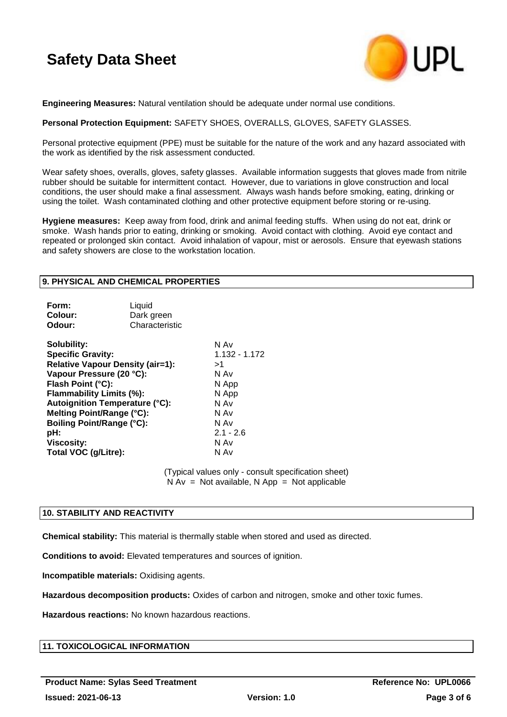

**Engineering Measures:** Natural ventilation should be adequate under normal use conditions.

## **Personal Protection Equipment:** SAFETY SHOES, OVERALLS, GLOVES, SAFETY GLASSES.

Personal protective equipment (PPE) must be suitable for the nature of the work and any hazard associated with the work as identified by the risk assessment conducted.

Wear safety shoes, overalls, gloves, safety glasses. Available information suggests that gloves made from nitrile rubber should be suitable for intermittent contact. However, due to variations in glove construction and local conditions, the user should make a final assessment. Always wash hands before smoking, eating, drinking or using the toilet. Wash contaminated clothing and other protective equipment before storing or re-using.

**Hygiene measures:** Keep away from food, drink and animal feeding stuffs. When using do not eat, drink or smoke. Wash hands prior to eating, drinking or smoking. Avoid contact with clothing. Avoid eye contact and repeated or prolonged skin contact. Avoid inhalation of vapour, mist or aerosols. Ensure that eyewash stations and safety showers are close to the workstation location.

## **9. PHYSICAL AND CHEMICAL PROPERTIES**

| Characteristic<br>Odour:                                                                                                                                                                                                                                                                                                                                                                                              |               |
|-----------------------------------------------------------------------------------------------------------------------------------------------------------------------------------------------------------------------------------------------------------------------------------------------------------------------------------------------------------------------------------------------------------------------|---------------|
| N Av<br>Solubility:<br><b>Specific Gravity:</b><br><b>Relative Vapour Density (air=1):</b><br>>1<br>Vapour Pressure (20 °C):<br>N Av<br>Flash Point (°C):<br>N App<br>Flammability Limits (%):<br>N App<br><b>Autoignition Temperature (°C):</b><br>N Av<br>Melting Point/Range (°C):<br>N Av<br><b>Boiling Point/Range (°C):</b><br>N Av<br>$2.1 - 2.6$<br>pH:<br>N Av<br>Viscosity:<br>Total VOC (g/Litre):<br>N Av | 1.132 - 1.172 |

(Typical values only - consult specification sheet)  $N Av = Not available$ . Note available and  $N A$  and  $N A$ 

## **10. STABILITY AND REACTIVITY**

**Chemical stability:** This material is thermally stable when stored and used as directed.

**Conditions to avoid:** Elevated temperatures and sources of ignition.

**Incompatible materials:** Oxidising agents.

**Hazardous decomposition products:** Oxides of carbon and nitrogen, smoke and other toxic fumes.

**Hazardous reactions:** No known hazardous reactions.

# **11. TOXICOLOGICAL INFORMATION**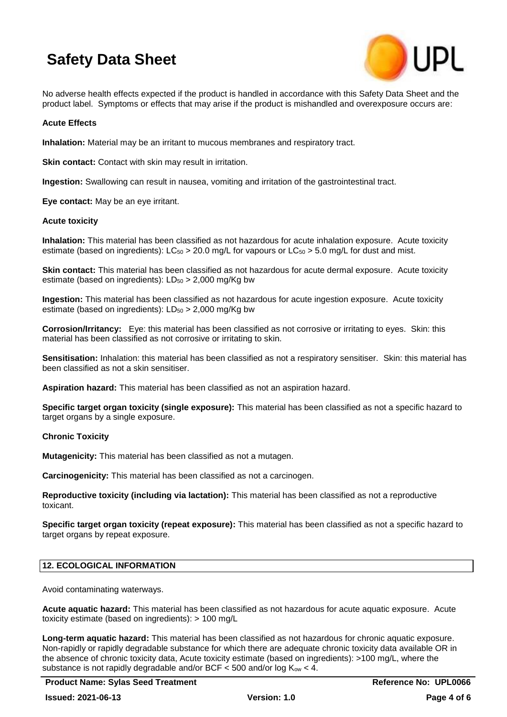

No adverse health effects expected if the product is handled in accordance with this Safety Data Sheet and the product label. Symptoms or effects that may arise if the product is mishandled and overexposure occurs are:

## **Acute Effects**

**Inhalation:** Material may be an irritant to mucous membranes and respiratory tract.

**Skin contact:** Contact with skin may result in irritation.

**Ingestion:** Swallowing can result in nausea, vomiting and irritation of the gastrointestinal tract.

**Eye contact:** May be an eye irritant.

### **Acute toxicity**

**Inhalation:** This material has been classified as not hazardous for acute inhalation exposure. Acute toxicity estimate (based on ingredients):  $LC_{50} > 20.0$  mg/L for vapours or  $LC_{50} > 5.0$  mg/L for dust and mist.

**Skin contact:** This material has been classified as not hazardous for acute dermal exposure. Acute toxicity estimate (based on ingredients):  $LD_{50} > 2,000$  mg/Kg bw

**Ingestion:** This material has been classified as not hazardous for acute ingestion exposure. Acute toxicity estimate (based on ingredients):  $LD_{50} > 2,000$  mg/Kg bw

**Corrosion/Irritancy:** Eye: this material has been classified as not corrosive or irritating to eyes. Skin: this material has been classified as not corrosive or irritating to skin.

**Sensitisation:** Inhalation: this material has been classified as not a respiratory sensitiser. Skin: this material has been classified as not a skin sensitiser.

**Aspiration hazard:** This material has been classified as not an aspiration hazard.

**Specific target organ toxicity (single exposure):** This material has been classified as not a specific hazard to target organs by a single exposure.

## **Chronic Toxicity**

**Mutagenicity:** This material has been classified as not a mutagen.

**Carcinogenicity:** This material has been classified as not a carcinogen.

**Reproductive toxicity (including via lactation):** This material has been classified as not a reproductive toxicant.

**Specific target organ toxicity (repeat exposure):** This material has been classified as not a specific hazard to target organs by repeat exposure.

## **12. ECOLOGICAL INFORMATION**

Avoid contaminating waterways.

**Acute aquatic hazard:** This material has been classified as not hazardous for acute aquatic exposure. Acute toxicity estimate (based on ingredients): > 100 mg/L

**Long-term aquatic hazard:** This material has been classified as not hazardous for chronic aquatic exposure. Non-rapidly or rapidly degradable substance for which there are adequate chronic toxicity data available OR in the absence of chronic toxicity data, Acute toxicity estimate (based on ingredients): >100 mg/L, where the substance is not rapidly degradable and/or BCF  $<$  500 and/or log K<sub>ow</sub>  $<$  4.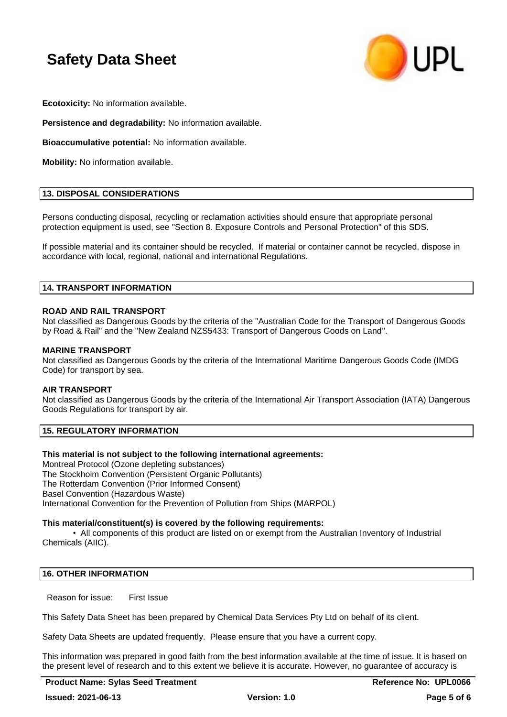

**Ecotoxicity:** No information available.

**Persistence and degradability:** No information available.

**Bioaccumulative potential:** No information available.

**Mobility:** No information available.

## **13. DISPOSAL CONSIDERATIONS**

Persons conducting disposal, recycling or reclamation activities should ensure that appropriate personal protection equipment is used, see "Section 8. Exposure Controls and Personal Protection" of this SDS.

If possible material and its container should be recycled. If material or container cannot be recycled, dispose in accordance with local, regional, national and international Regulations.

## **14. TRANSPORT INFORMATION**

## **ROAD AND RAIL TRANSPORT**

Not classified as Dangerous Goods by the criteria of the "Australian Code for the Transport of Dangerous Goods by Road & Rail" and the "New Zealand NZS5433: Transport of Dangerous Goods on Land".

## **MARINE TRANSPORT**

Not classified as Dangerous Goods by the criteria of the International Maritime Dangerous Goods Code (IMDG Code) for transport by sea.

### **AIR TRANSPORT**

Not classified as Dangerous Goods by the criteria of the International Air Transport Association (IATA) Dangerous Goods Regulations for transport by air.

## **15. REGULATORY INFORMATION**

### **This material is not subject to the following international agreements:**

Montreal Protocol (Ozone depleting substances) The Stockholm Convention (Persistent Organic Pollutants) The Rotterdam Convention (Prior Informed Consent) Basel Convention (Hazardous Waste) International Convention for the Prevention of Pollution from Ships (MARPOL)

### **This material/constituent(s) is covered by the following requirements:**

• All components of this product are listed on or exempt from the Australian Inventory of Industrial Chemicals (AIIC).

## **16. OTHER INFORMATION**

Reason for issue: First Issue

This Safety Data Sheet has been prepared by Chemical Data Services Pty Ltd on behalf of its client.

Safety Data Sheets are updated frequently. Please ensure that you have a current copy.

This information was prepared in good faith from the best information available at the time of issue. It is based on the present level of research and to this extent we believe it is accurate. However, no guarantee of accuracy is